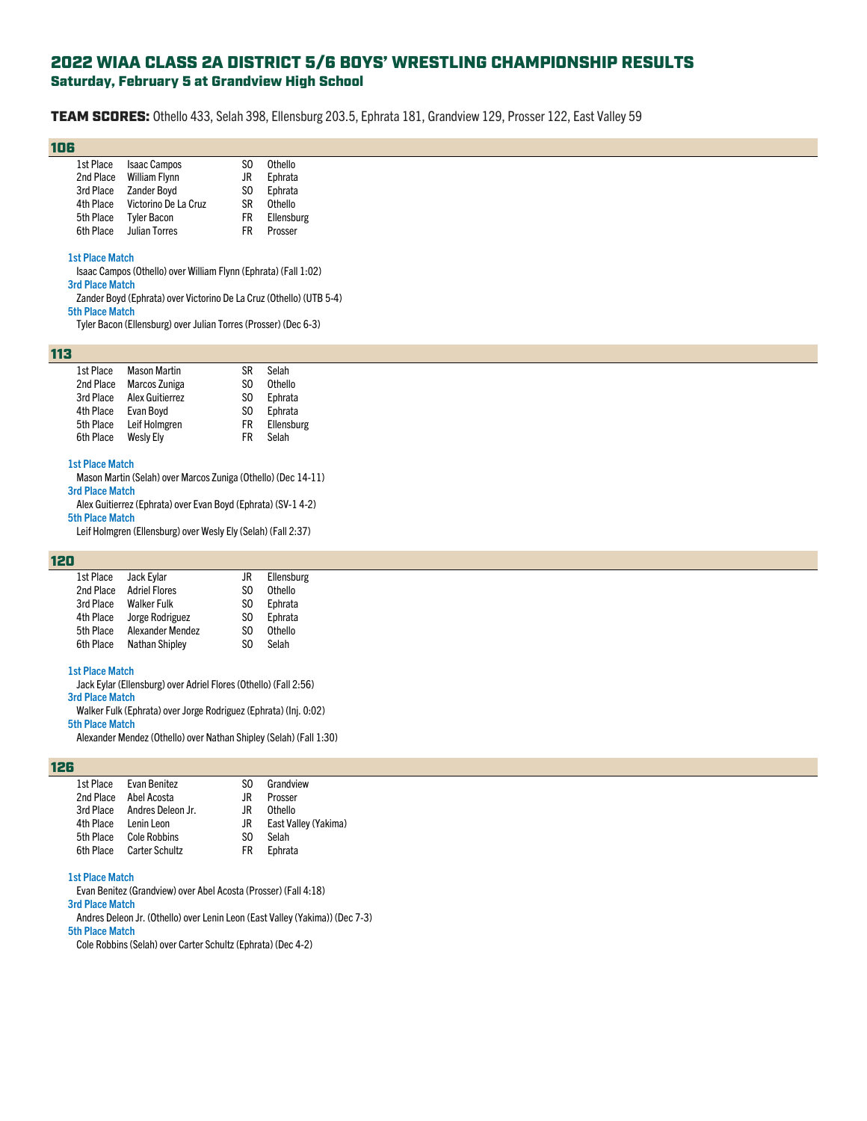# 2022 WIAA CLASS 2A DISTRICT 5/6 BOYS' WRESTLING CHAMPIONSHIP RESULTS Saturday, February 5 at Grandview High School

TEAM SCORES: Othello 433, Selah 398, Ellensburg 203.5, Ephrata 181, Grandview 129, Prosser 122, East Valley 59

# 106

| 1st Place | <b>Isaac Campos</b>  | S0  | Othello    |
|-----------|----------------------|-----|------------|
| 2nd Place | <b>William Flynn</b> | JR  | Ephrata    |
| 3rd Place | <b>Zander Boyd</b>   | SO. | Ephrata    |
| 4th Place | Victorino De La Cruz | ßR  | Othello    |
| 5th Place | <b>Tyler Bacon</b>   | FR  | Ellensburg |
| 6th Place | <b>Julian Torres</b> | FR  | Prosser    |

#### **1st Place Match**

Isaac Campos (Othello) over William Flynn (Ephrata) (Fall 1:02)

# **3rd Place Match**

Zander Boyd (Ephrata) over Victorino De La Cruz (Othello) (UTB 5-4) **5th Place Match**

Tyler Bacon (Ellensburg) over Julian Torres (Prosser) (Dec 6-3)

### 113

| 1st Place | <b>Mason Martin</b> | ß   | Selah      |
|-----------|---------------------|-----|------------|
| 2nd Place | Marcos Zuniga       | S0  | Othello    |
| 3rd Place | Alex Guitierrez     | SO. | Ephrata    |
| 4th Place | Evan Bovd           | SO. | Ephrata    |
| 5th Place | Leif Holmgren       | FR  | Ellensburg |
| 6th Place | <b>Wesly Ely</b>    | FR  | Selah      |

## **1st Place Match**

Mason Martin (Selah) over Marcos Zuniga (Othello) (Dec 14-11)

## **3rd Place Match**

Alex Guitierrez (Ephrata) over Evan Boyd (Ephrata) (SV-1 4-2)

## **5th Place Match**

Leif Holmgren (Ellensburg) over Wesly Ely (Selah) (Fall 2:37)

# 120

| Jack Eylar            | JR. | Ellensburg |
|-----------------------|-----|------------|
| <b>Adriel Flores</b>  | S0  | Othello    |
| <b>Walker Fulk</b>    | SO. | Ephrata    |
| Jorge Rodriguez       | SO. | Ephrata    |
| Alexander Mendez      | S0  | Othello    |
| <b>Nathan Shipley</b> | S0  | Selah      |
|                       |     |            |

### **1st Place Match**

Jack Eylar (Ellensburg) over Adriel Flores (Othello) (Fall 2:56)

## **3rd Place Match**

Walker Fulk (Ephrata) over Jorge Rodriguez (Ephrata) (Inj. 0:02)

**5th Place Match**

Alexander Mendez (Othello) over Nathan Shipley (Selah) (Fall 1:30)

## 126

|                      | 1st Place Evan Benitez      | SO.  | Grandview            |
|----------------------|-----------------------------|------|----------------------|
|                      | 2nd Place Abel Acosta       | .IR. | Prosser              |
|                      | 3rd Place Andres Deleon Jr. | .IR. | Othello              |
| 4th Place Lenin Leon |                             | JR   | East Valley (Yakima) |
|                      | 5th Place Cole Robbins      | SO.  | Selah                |
|                      | 6th Place Carter Schultz    | FR.  | Ephrata              |
|                      |                             |      |                      |

#### **1st Place Match**

Evan Benitez (Grandview) over Abel Acosta (Prosser) (Fall 4:18)

## **3rd Place Match**

Andres Deleon Jr. (Othello) over Lenin Leon (East Valley (Yakima)) (Dec 7-3) **5th Place Match**

Cole Robbins (Selah) over Carter Schultz (Ephrata) (Dec 4-2)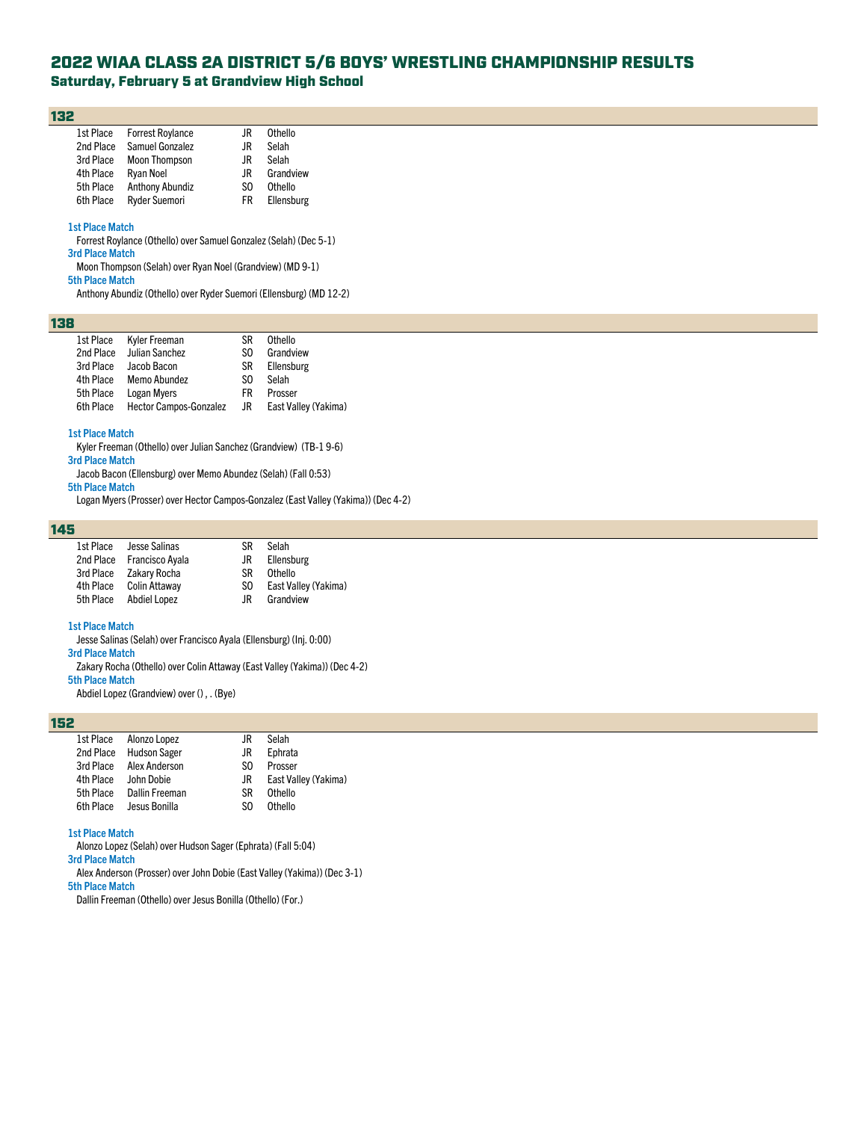# 2022 WIAA CLASS 2A DISTRICT 5/6 BOYS' WRESTLING CHAMPIONSHIP RESULTS

# Saturday, February 5 at Grandview High School

## 132

| 1st Place | <b>Forrest Roylance</b> | JR. | Othello    |
|-----------|-------------------------|-----|------------|
| 2nd Place | Samuel Gonzalez         | .IR | Selah      |
| 3rd Place | <b>Moon Thompson</b>    | .IR | Selah      |
| 4th Place | <b>Ryan Noel</b>        | .IR | Grandview  |
| 5th Place | <b>Anthony Abundiz</b>  | S0  | Othello    |
| 6th Place | <b>Ryder Suemori</b>    | FR. | Ellensburg |

#### **1st Place Match**

Forrest Roylance (Othello) over Samuel Gonzalez (Selah) (Dec 5-1)

**3rd Place Match**

Moon Thompson (Selah) over Ryan Noel (Grandview) (MD 9-1)

**5th Place Match**

Anthony Abundiz (Othello) over Ryder Suemori (Ellensburg) (MD 12-2)

# 138

| 1st Place | Kyler Freeman                 | SR  | Othello              |
|-----------|-------------------------------|-----|----------------------|
| 2nd Place | Julian Sanchez                | SO. | Grandview            |
| 3rd Place | Jacob Bacon                   | SR  | Ellensburg           |
| 4th Place | Memo Abundez                  | SO. | Selah                |
| 5th Place | Logan Myers                   | FR. | Prosser              |
| 6th Place | <b>Hector Campos-Gonzalez</b> | JR. | East Valley (Yakima) |

#### **1st Place Match**

Kyler Freeman (Othello) over Julian Sanchez (Grandview) (TB-1 9-6)

**3rd Place Match** Jacob Bacon (Ellensburg) over Memo Abundez (Selah) (Fall 0:53)

**5th Place Match**

Logan Myers (Prosser) over Hector Campos-Gonzalez (East Valley (Yakima)) (Dec 4-2)

# 145

| 1st Place | Jesse Salinas             | ßR  | Selah                |
|-----------|---------------------------|-----|----------------------|
|           | 2nd Place Francisco Ayala | JR. | Ellensburg           |
|           | 3rd Place Zakary Rocha    | SR. | Othello              |
|           | 4th Place Colin Attaway   | SO. | East Valley (Yakima) |
| 5th Place | Abdiel Lopez              | .IR | Grandview            |
|           |                           |     |                      |

#### **1st Place Match**

Jesse Salinas (Selah) over Francisco Ayala (Ellensburg) (Inj. 0:00) **3rd Place Match**

Zakary Rocha (Othello) over Colin Attaway (East Valley (Yakima)) (Dec 4-2)

**5th Place Match**

Abdiel Lopez (Grandview) over () , . (Bye)

# 152

|           | 1st Place Alonzo Lopez   | JR  | Selah                |
|-----------|--------------------------|-----|----------------------|
|           | 2nd Place Hudson Sager   | JR. | Ephrata              |
|           | 3rd Place Alex Anderson  | SO. | Prosser              |
| 4th Place | John Dobie               | JR  | East Valley (Yakima) |
|           | 5th Place Dallin Freeman | SR  | Othello              |
| 6th Place | Jesus Bonilla            | SO. | Othello              |

## **1st Place Match**

Alonzo Lopez (Selah) over Hudson Sager (Ephrata) (Fall 5:04)

**3rd Place Match**

Alex Anderson (Prosser) over John Dobie (East Valley (Yakima)) (Dec 3-1)

**5th Place Match**

Dallin Freeman (Othello) over Jesus Bonilla (Othello) (For.)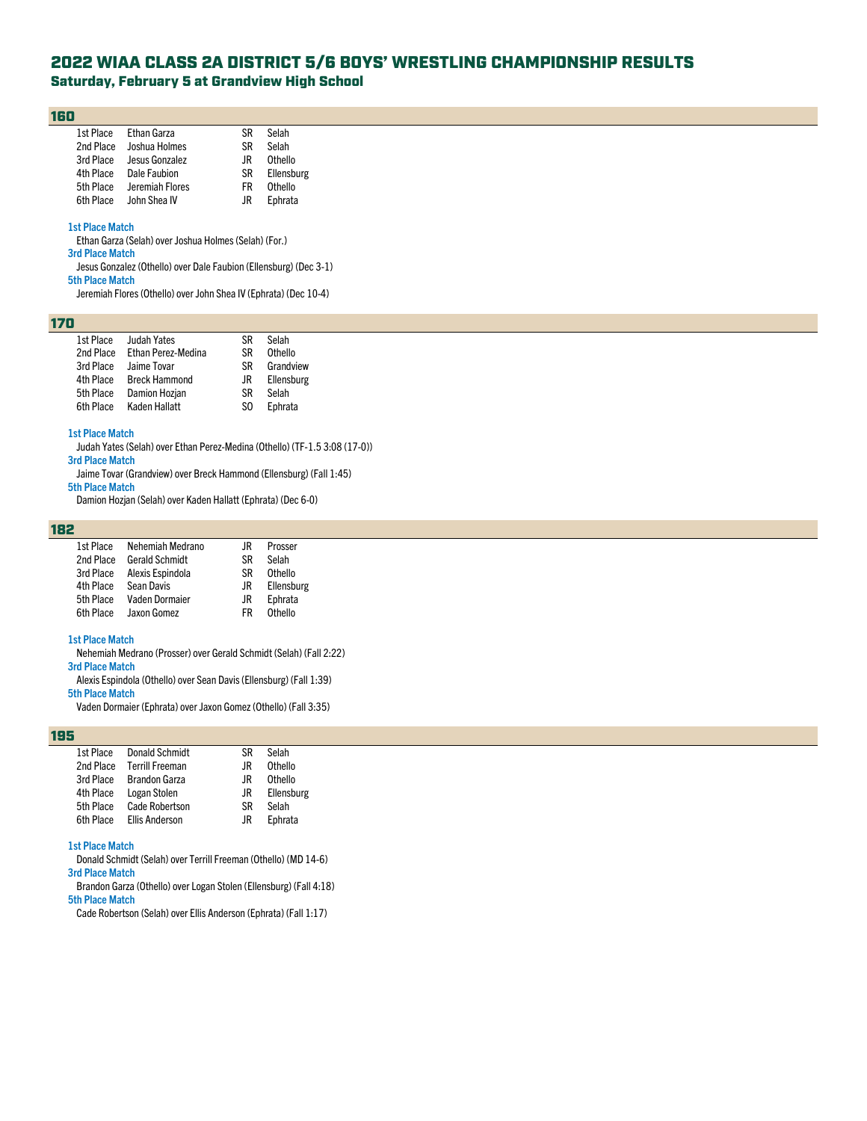# 2022 WIAA CLASS 2A DISTRICT 5/6 BOYS' WRESTLING CHAMPIONSHIP RESULTS

# Saturday, February 5 at Grandview High School

## 160

|           | 1st Place Ethan Garza  | SR  | Selah      |
|-----------|------------------------|-----|------------|
| 2nd Place | Joshua Holmes          | ßR  | Selah      |
| 3rd Place | Jesus Gonzalez         | .IR | Othello    |
|           | 4th Place Dale Faubion | SR  | Ellensburg |
| 5th Place | Jeremiah Flores        | FR  | Othello    |
|           | 6th Place John Shea IV | .IR | Ephrata    |

#### **1st Place Match**

Ethan Garza (Selah) over Joshua Holmes (Selah) (For.)

**3rd Place Match**

Jesus Gonzalez (Othello) over Dale Faubion (Ellensburg) (Dec 3-1) **5th Place Match**

Jeremiah Flores (Othello) over John Shea IV (Ephrata) (Dec 10-4)

# 170

| 1st Place | Judah Yates          | SR  | Selah      |
|-----------|----------------------|-----|------------|
| 2nd Place | Ethan Perez-Medina   | SR  | Othello    |
| 3rd Place | Jaime Tovar          | SR  | Grandview  |
| 4th Place | <b>Breck Hammond</b> | JR  | Ellensburg |
| 5th Place | Damion Hozjan        | SR  | Selah      |
| 6th Place | Kaden Hallatt        | SO. | Ephrata    |

#### **1st Place Match**

Judah Yates (Selah) over Ethan Perez-Medina (Othello) (TF-1.5 3:08 (17-0)) **3rd Place Match**

Jaime Tovar (Grandview) over Breck Hammond (Ellensburg) (Fall 1:45)

**5th Place Match**

Damion Hozjan (Selah) over Kaden Hallatt (Ephrata) (Dec 6-0)

# 182

| 1st Place | Nehemiah Medrano      | JR        | Prosser    |
|-----------|-----------------------|-----------|------------|
| 2nd Place | <b>Gerald Schmidt</b> | <b>SR</b> | Selah      |
| 3rd Place | Alexis Espindola      | <b>SR</b> | Othello    |
| 4th Place | Sean Davis            | JR.       | Ellensburg |
| 5th Place | Vaden Dormaier        | JR        | Ephrata    |
| 6th Place | Jaxon Gomez           | FR        | Othello    |
|           |                       |           |            |

### **1st Place Match**

Nehemiah Medrano (Prosser) over Gerald Schmidt (Selah) (Fall 2:22)

## **3rd Place Match**

Alexis Espindola (Othello) over Sean Davis (Ellensburg) (Fall 1:39)

**5th Place Match**

Vaden Dormaier (Ephrata) over Jaxon Gomez (Othello) (Fall 3:35)

#### 195

| 1st Place | <b>Donald Schmidt</b>  | ßR  | Selah      |
|-----------|------------------------|-----|------------|
| 2nd Place | <b>Terrill Freeman</b> | .IR | Othello    |
| 3rd Place | <b>Brandon Garza</b>   | .IR | Othello    |
| 4th Place | Logan Stolen           | JR  | Ellensburg |
| 5th Place | <b>Cade Robertson</b>  | SR  | Selah      |
| 6th Place | <b>Ellis Anderson</b>  | .IR | Ephrata    |
|           |                        |     |            |

## **1st Place Match**

Donald Schmidt (Selah) over Terrill Freeman (Othello) (MD 14-6)

**3rd Place Match**

Brandon Garza (Othello) over Logan Stolen (Ellensburg) (Fall 4:18) **5th Place Match**

Cade Robertson (Selah) over Ellis Anderson (Ephrata) (Fall 1:17)